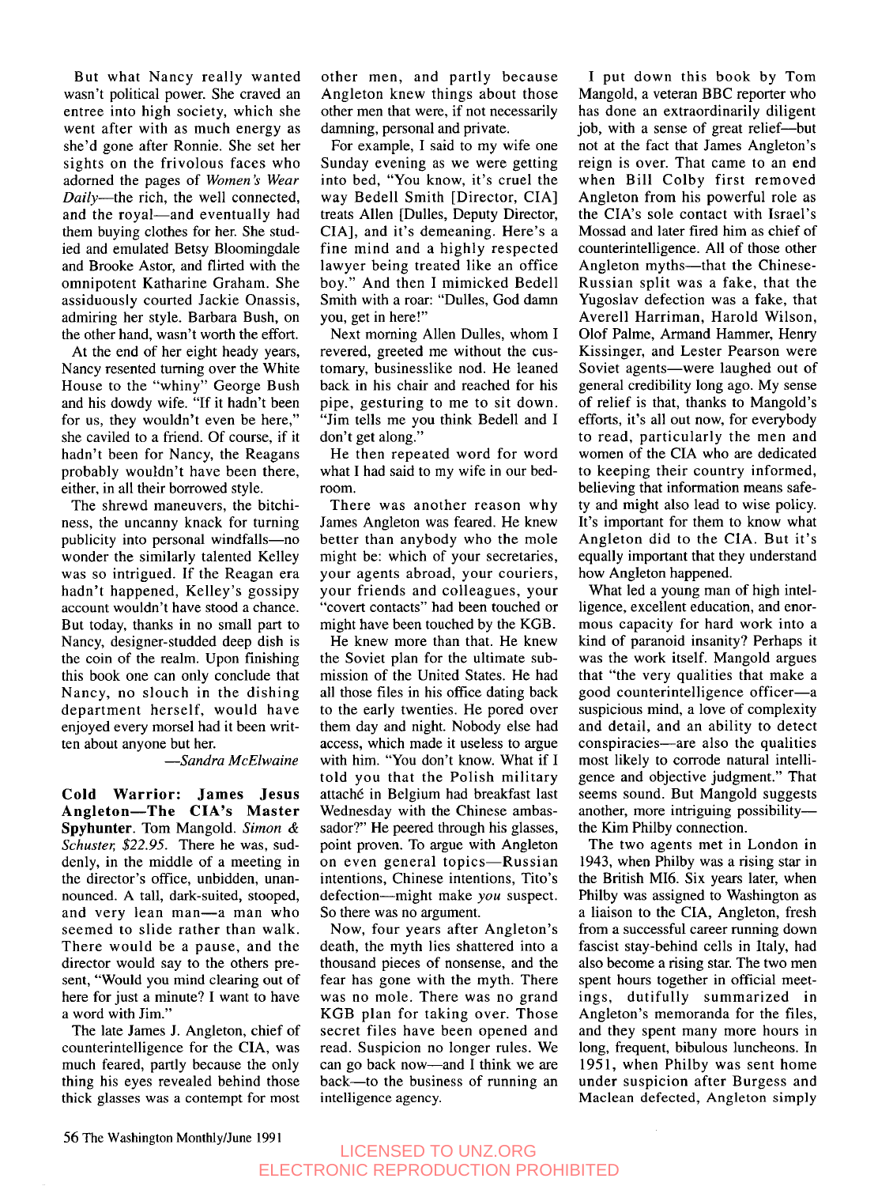But what Nancy really wanted wasn't political power. She craved an entree into high society, which she went after with as much energy as she'd gone after Ronnie. She set her sights on the frivolous faces who adorned the pages of Women's Wear Daily-the rich, the well connected, and the royal-and eventually had them buying clothes for her. She studied and emulated Betsy Bloomingdale and Brooke Astor, and flirted with the omnipotent Katharine Graham. She assiduously courted Jackie Onassis, admiring her style. Barbara Bush, on the other hand, wasn't worth the effort.

At the end of her eight heady years, Nancy resented turning over the White House to the "whiny" George Bush and his dowdy wife. "If it hadn't been for us, they wouldn't even be here," she caviled to a friend. Of course, if it hadn't been for Nancy, the Reagans probably wouldn't have been there, either, in all their borrowed style.

The shrewd maneuvers, the bitchiness, the uncanny knack for turning publicity into personal windfalls-no wonder the similarly talented Kelley was so intrigued. If the Reagan era hadn't happened, Kelley's gossipy account wouldn't have stood a chance. But today, thanks in no small part to Nancy, designer-studded deep dish is the coin of the realm. Upon finishing this book one can only conclude that Nancy, no slouch in the dishing department herself, would have enjoyed every morsel had it been written about anyone but her.

-Sandra McElwaine

**Cold Warrior: James Jesus Angleton-The CIA'S Master Spyhunter.** Tom Mangold. *Simon* & *Schuster*, \$22.95. There he was, suddenly, in the middle of a meeting in the director's office, unbidden, unannounced. A tall, dark-suited, stooped, and very lean man-a man who seemed to slide rather than walk. There would be a pause, and the director would say to the others present, "Would you mind clearing out of here for just a minute? **I** want to have a word with Jim."

The late James J. Angleton, chief of counterintelligence for the CIA, was much feared, partly because the only thing his eyes revealed behind those thick glasses was a contempt for most

other men, and partly because Angleton knew things about those other men that were, if not necessarily damning, personal and private.

For example, I said to my wife one Sunday evening as we were getting into bed, "You know, it's cruel the way Bedell Smith [Director, CIA] treats Allen [Dulles, Deputy Director, CIA], and it's demeaning. Here's a fine mind and a highly respected lawyer being treated like an office boy." And then **I** mimicked Bedell Smith with a roar: "Dulles, God damn you, get in here!"

Next morning Allen Dulles, whom I revered, greeted me without the customary, businesslike nod. He leaned back in his chair and reached for his pipe, gesturing to me to sit down. "Jim tells me you think Bedell and I don't get along."

He then repeated word for word what **I** had said to my wife in our bedroom.

There was another reason why James Angleton was feared. He knew better than anybody who the mole might be: which of your secretaries, your agents abroad, your couriers, your friends and colleagues, your "covert contacts" had been touched or might have been touched by the KGB.

He knew more than that. He knew the Soviet plan for the ultimate submission of the United States. He had all those files in his office dating back to the early twenties. He pored over them day and night. Nobody else had access, which made it useless to argue with him. "You don't know. What if I told you that the Polish military attaché in Belgium had breakfast last Wednesday with the Chinese ambassador?" He peered through his glasses, point proven. To argue with Angleton on even general topics—Russian intentions, Chinese intentions, Tito's defection-might make *you* suspect. So there was no argument.

Now, four years after Angleton's death, the myth lies shattered into a thousand pieces of nonsense, and the fear has gone with the myth. There was no mole. There was no grand KGB plan for taking over. Those secret files have been opened and read. Suspicion no longer rules. We can go back now-and I think we are back-to the business of running an intelligence agency.

**I** put down this book by Tom Mangold, a veteran BBC reporter who has done an extraordinarily diligent job, with a sense of great relief-but not at the fact that James Angleton's reign is over. That came to an end when Bill Colby first removed Angleton from his powerful role as the CIA'S sole contact with Israel's Mossad and later fired him as chief of counterintelligence. All of those other Angleton myths—that the Chinese-Russian split was a fake, that the Yugoslav defection was a fake, that Averell Harriman, Harold Wilson, Olof Palme, Armand Hammer, Henry Kissinger, and Lester Pearson were Soviet agents-were laughed out of general credibility long ago. My sense of relief is that, thanks to Mangold's efforts, it's all out now, for everybody to read, particularly the men and women of the **CIA** who are dedicated to keeping their country informed, believing that information means safety and might also lead to wise policy. It's important for them to know what Angleton did to the CIA. But it's equally important that they understand how Angleton happened.

What led a young man of high intelligence, excellent education, and enormous capacity for hard work into a kind of paranoid insanity? Perhaps it was the work itself. Mangold argues that "the very qualities that make a good counterintelligence officer-a suspicious mind, a love of complexity and detail, and an ability to detect conspiracies-are also the qualities most likely to corrode natural intelligence and objective judgment." That seems sound. But Mangold suggests another, more intriguing possibilitythe Kim Philby connection.

The two agents met in London in 1943, when Philby was a rising star in the British M16. Six years later, when Philby was assigned to Washington as a liaison to the CIA, Angleton, fresh from a successful career running down fascist stay-behind cells in Italy, had also become a rising star. The two men spent hours together in official meetings, dutifully summarized in Angleton's memoranda for the files, and they spent many more hours in long, frequent, bibulous luncheons. In 1951, when Philby was sent home under suspicion after Burgess and Maclean defected, Angleton simply

## LICENSED TO UNZ.ORG ELECTRONIC REPRODUCTION PROHIBITED